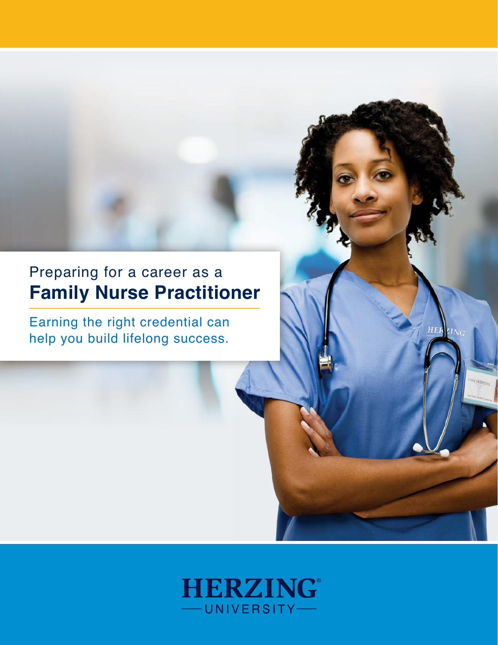# Preparing for a career as a **Family Nurse Practitioner**

Earning the right credential can help you build lifelong success.

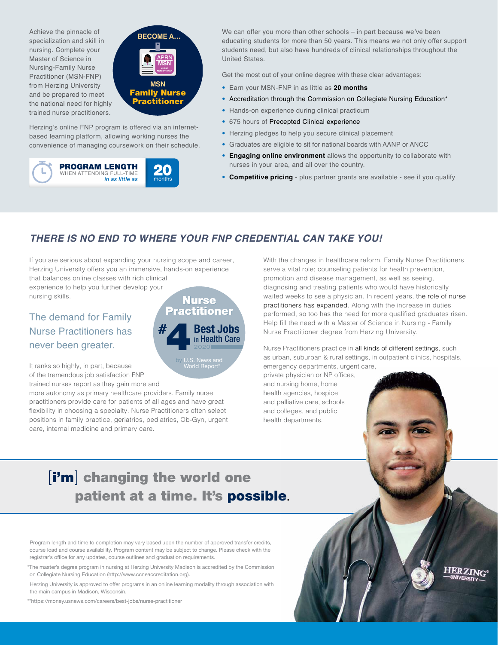Achieve the pinnacle of specialization and skill in nursing. Complete your Master of Science in Nursing-Family Nurse Practitioner (MSN-FNP) from Herzing University and be prepared to meet the national need for highly trained nurse practitioners.



Herzing's online FNP program is offered via an internetbased learning platform, allowing working nurses the convenience of managing coursework on their schedule.



We can offer you more than other schools – in part because we've been educating students for more than 50 years. This means we not only offer support students need, but also have hundreds of clinical relationships throughout the United States.

Get the most out of your online degree with these clear advantages:

- Earn your MSN-FNP in as little as **20 months**
- Accreditation through the Commission on Collegiate Nursing Education\*
- Hands-on experience during clinical practicum
- 675 hours of Precepted Clinical experience
- Herzing pledges to help you secure clinical placement
- Graduates are eligible to sit for national boards with AANP or ANCC
- **Engaging online environment** allows the opportunity to collaborate with nurses in your area, and all over the country.
- **Competitive pricing** plus partner grants are available see if you qualify

## *THERE IS NO END TO WHERE YOUR FNP CREDENTIAL CAN TAKE YOU!*

If you are serious about expanding your nursing scope and career, Herzing University offers you an immersive, hands-on experience that balances online classes with rich clinical

experience to help you further develop your nursing skills.

# The demand for Family Nurse Practitioners has never been greater.

It ranks so highly, in part, because of the tremendous job satisfaction FNP trained nurses report as they gain more and

more autonomy as primary healthcare providers. Family nurse practitioners provide care for patients of all ages and have great flexibility in choosing a specialty. Nurse Practitioners often select positions in family practice, geriatrics, pediatrics, Ob-Gyn, urgent care, internal medicine and primary care.

**Nurse Practitioner Best Jobs** in Health Care by U.S. News and World Report\* 4

With the changes in healthcare reform, Family Nurse Practitioners serve a vital role; counseling patients for health prevention, promotion and disease management, as well as seeing, diagnosing and treating patients who would have historically waited weeks to see a physician. In recent years, the role of nurse practitioners has expanded. Along with the increase in duties performed, so too has the need for more qualified graduates risen. Help fill the need with a Master of Science in Nursing - Family Nurse Practitioner degree from Herzing University.

Nurse Practitioners practice in all kinds of different settings, such as urban, suburban & rural settings, in outpatient clinics, hospitals, emergency departments, urgent care,

**HERZING** 

private physician or NP offices, and nursing home, home health agencies, hospice and palliative care, schools and colleges, and public health departments.

# [i'm] changing the world one patient at a time. It's possible.

Program length and time to completion may vary based upon the number of approved transfer credits, course load and course availability. Program content may be subject to change. Please check with the registrar's office for any updates, course outlines and graduation requirements.

\*The master's degree program in nursing at Herzing University Madison is accredited by the Commission on Collegiate Nursing Education (http://www.ccneaccreditation.org).

Herzing University is approved to offer programs in an online learning modality through association with the main campus in Madison, Wisconsin.

\*\*https://money.usnews.com/careers/best-jobs/nurse-practitioner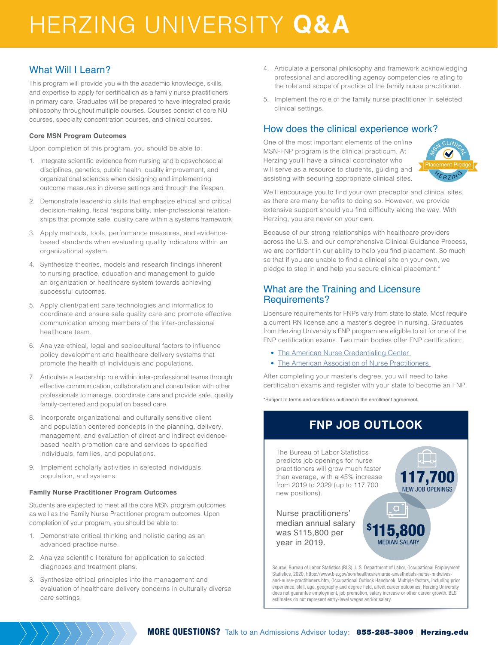# HERZING UNIVERSITY **Q&A**

### What Will I Learn?

This program will provide you with the academic knowledge, skills, and expertise to apply for certification as a family nurse practitioners in primary care. Graduates will be prepared to have integrated praxis philosophy throughout multiple courses. Courses consist of core NU courses, specialty concentration courses, and clinical courses.

#### **Core MSN Program Outcomes**

Upon completion of this program, you should be able to:

- 1. Integrate scientific evidence from nursing and biopsychosocial disciplines, genetics, public health, quality improvement, and organizational sciences when designing and implementing outcome measures in diverse settings and through the lifespan.
- 2. Demonstrate leadership skills that emphasize ethical and critical decision-making, fiscal responsibility, inter-professional relationships that promote safe, quality care within a systems framework.
- 3. Apply methods, tools, performance measures, and evidencebased standards when evaluating quality indicators within an organizational system.
- 4. Synthesize theories, models and research findings inherent to nursing practice, education and management to guide an organization or healthcare system towards achieving successful outcomes.
- 5. Apply client/patient care technologies and informatics to coordinate and ensure safe quality care and promote effective communication among members of the inter-professional healthcare team.
- 6. Analyze ethical, legal and sociocultural factors to influence policy development and healthcare delivery systems that promote the health of individuals and populations.
- 7. Articulate a leadership role within inter-professional teams through effective communication, collaboration and consultation with other professionals to manage, coordinate care and provide safe, quality family-centered and population based care.
- 8. Incorporate organizational and culturally sensitive client and population centered concepts in the planning, delivery, management, and evaluation of direct and indirect evidencebased health promotion care and services to specified individuals, families, and populations.
- 9. Implement scholarly activities in selected individuals, population, and systems.

#### **Family Nurse Practitioner Program Outcomes**

Students are expected to meet all the core MSN program outcomes as well as the Family Nurse Practitioner program outcomes. Upon completion of your program, you should be able to:

- 1. Demonstrate critical thinking and holistic caring as an advanced practice nurse.
- 2. Analyze scientific literature for application to selected diagnoses and treatment plans.
- 3. Synthesize ethical principles into the management and evaluation of healthcare delivery concerns in culturally diverse care settings.
- 4. Articulate a personal philosophy and framework acknowledging professional and accrediting agency competencies relating to the role and scope of practice of the family nurse practitioner.
- 5. Implement the role of the family nurse practitioner in selected clinical settings.

#### How does the clinical experience work?

One of the most important elements of the online MSN-FNP program is the clinical practicum. At Herzing you'll have a clinical coordinator who will serve as a resource to students, guiding and assisting with securing appropriate clinical sites.



We'll encourage you to find your own preceptor and clinical sites, as there are many benefits to doing so. However, we provide extensive support should you find difficulty along the way. With Herzing, you are never on your own.

Because of our strong relationships with healthcare providers across the U.S. and our comprehensive Clinical Guidance Process, we are confident in our ability to help you find placement. So much so that if you are unable to find a clinical site on your own, we pledge to step in and help you secure clinical placement.\*

#### What are the Training and Licensure Requirements?

Licensure requirements for FNPs vary from state to state. Most require a current RN license and a master's degree in nursing. Graduates from Herzing University's FNP program are eligible to sit for one of the FNP certification exams. Two main bodies offer FNP certification:

- [The American Nurse Credentialing Center](https://www.nursingworld.org/ancc/)
- [The American Association of Nurse Practitioners](https://www.aanp.org/)

After completing your master's degree, you will need to take certification exams and register with your state to become an FNP.

\*Subject to terms and conditions outlined in the enrollment agreement.

# **FNP JOB OUTLOOK**

The Bureau of Labor Statistics predicts job openings for nurse practitioners will grow much faster than average, with a 45% increase from 2019 to 2029 (up to 117,700 new positions).

> \$ 115,800 MEDIAN SALARY

117,700 NEW JOB OPENINGS

Nurse practitioners' median annual salary was \$115,800 per year in 2019.

Source: Bureau of Labor Statistics (BLS), U.S. Department of Labor, Occupational Employment Statistics, 2020, https://www.bls.gov/ooh/healthcare/nurse-anesthetists-nurse-midwivesand-nurse-practitioners.htm, Occupational Outlook Handbook. Multiple factors, including prior experience, skill, age, geography and degree field, affect career outcomes. Herzing University does not guarantee employment, job promotion, salary increase or other career growth. BLS estimates do not represent entry-level wages and/or salary.